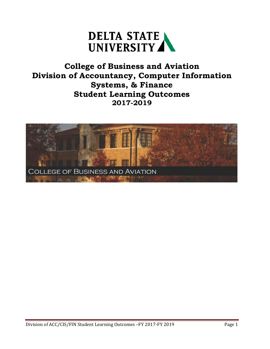

## **College of Business and Aviation Division of Accountancy, Computer Information Systems, & Finance Student Learning Outcomes 2017-2019**

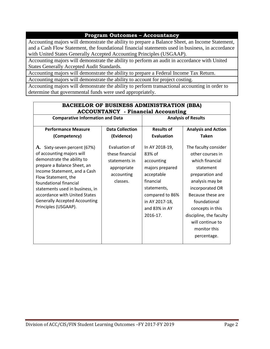#### **Program Outcomes – Accountancy**

Accounting majors will demonstrate the ability to prepare a Balance Sheet, an Income Statement, and a Cash Flow Statement, the foundational financial statements used in business, in accordance with United States Generally Accepted Accounting Principles (USGAAP).

Accounting majors will demonstrate the ability to perform an audit in accordance with United States Generally Accepted Audit Standards.

Accounting majors will demonstrate the ability to prepare a Federal Income Tax Return.

Accounting majors will demonstrate the ability to account for project costing.

Accounting majors will demonstrate the ability to perform transactional accounting in order to determine that governmental funds were used appropriately.

| <b>BACHELOR OF BUSINESS ADMINISTRATION (BBA)</b><br><b>ACCOUNTANCY</b> - Financial Accounting                                                                                                                                                                                                                                               |                                                                                            |                                                                                                                                                                       |                                                                                                                                                                                                                                                                          |  |
|---------------------------------------------------------------------------------------------------------------------------------------------------------------------------------------------------------------------------------------------------------------------------------------------------------------------------------------------|--------------------------------------------------------------------------------------------|-----------------------------------------------------------------------------------------------------------------------------------------------------------------------|--------------------------------------------------------------------------------------------------------------------------------------------------------------------------------------------------------------------------------------------------------------------------|--|
| <b>Comparative Information and Data</b>                                                                                                                                                                                                                                                                                                     |                                                                                            |                                                                                                                                                                       | <b>Analysis of Results</b>                                                                                                                                                                                                                                               |  |
| <b>Performance Measure</b>                                                                                                                                                                                                                                                                                                                  | <b>Data Collection</b>                                                                     | <b>Results of</b>                                                                                                                                                     | <b>Analysis and Action</b>                                                                                                                                                                                                                                               |  |
| (Competency)                                                                                                                                                                                                                                                                                                                                | (Evidence)                                                                                 | <b>Evaluation</b>                                                                                                                                                     | <b>Taken</b>                                                                                                                                                                                                                                                             |  |
| A. Sixty-seven percent (67%)<br>of accounting majors will<br>demonstrate the ability to<br>prepare a Balance Sheet, an<br>Income Statement, and a Cash<br>Flow Statement, the<br>foundational financial<br>statements used in business, in<br>accordance with United States<br><b>Generally Accepted Accounting</b><br>Principles (USGAAP). | Evaluation of<br>these financial<br>statements in<br>appropriate<br>accounting<br>classes. | In AY 2018-19,<br>83% of<br>accounting<br>majors prepared<br>acceptable<br>financial<br>statements,<br>compared to 86%<br>in AY 2017-18,<br>and 83% in AY<br>2016-17. | The faculty consider<br>other courses in<br>which financial<br>statement<br>preparation and<br>analysis may be<br>incorporated OR<br>Because these are<br>foundational<br>concepts in this<br>discipline, the faculty<br>will continue to<br>monitor this<br>percentage. |  |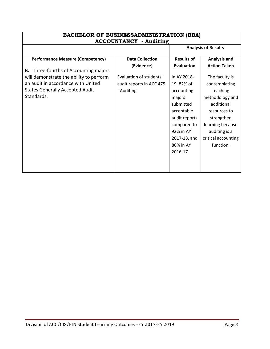| <b>BACHELOR OF BUSINESSADMINISTRATION (BBA)</b><br><b>ACCOUNTANCY</b> - Auditing                                                                                                  |                                                                   |                                                                                                                                          |                                                                                                                                                                        |  |  |
|-----------------------------------------------------------------------------------------------------------------------------------------------------------------------------------|-------------------------------------------------------------------|------------------------------------------------------------------------------------------------------------------------------------------|------------------------------------------------------------------------------------------------------------------------------------------------------------------------|--|--|
| <b>Analysis of Results</b>                                                                                                                                                        |                                                                   |                                                                                                                                          |                                                                                                                                                                        |  |  |
| <b>Performance Measure (Competency)</b>                                                                                                                                           | <b>Data Collection</b>                                            | <b>Results of</b>                                                                                                                        | <b>Analysis and</b>                                                                                                                                                    |  |  |
|                                                                                                                                                                                   | (Evidence)                                                        | Evaluation                                                                                                                               | <b>Action Taken</b>                                                                                                                                                    |  |  |
| Three-fourths of Accounting majors<br>В.<br>will demonstrate the ability to perform<br>an audit in accordance with United<br><b>States Generally Accepted Audit</b><br>Standards. | Evaluation of students'<br>audit reports in ACC 475<br>- Auditing | In AY 2018-<br>19,82% of<br>accounting<br>majors<br>submitted<br>acceptable<br>audit reports<br>compared to<br>92% in AY<br>2017-18, and | The faculty is<br>contemplating<br>teaching<br>methodology and<br>additional<br>resources to<br>strengthen<br>learning because<br>auditing is a<br>critical accounting |  |  |
|                                                                                                                                                                                   |                                                                   | 86% in AY                                                                                                                                | function.                                                                                                                                                              |  |  |
|                                                                                                                                                                                   |                                                                   | 2016-17.                                                                                                                                 |                                                                                                                                                                        |  |  |
|                                                                                                                                                                                   |                                                                   |                                                                                                                                          |                                                                                                                                                                        |  |  |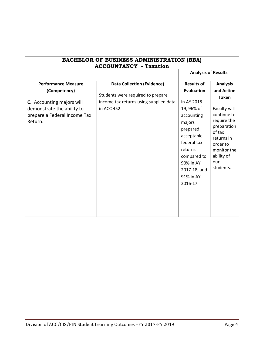| <b>BACHELOR OF BUSINESS ADMINISTRATION (BBA)</b><br><b>ACCOUNTANCY</b> - Taxation                                                                       |                                                                                                                                 |                                                                                                                                                                                                                      |                                                                                                                                                                                                 |
|---------------------------------------------------------------------------------------------------------------------------------------------------------|---------------------------------------------------------------------------------------------------------------------------------|----------------------------------------------------------------------------------------------------------------------------------------------------------------------------------------------------------------------|-------------------------------------------------------------------------------------------------------------------------------------------------------------------------------------------------|
|                                                                                                                                                         |                                                                                                                                 | <b>Analysis of Results</b>                                                                                                                                                                                           |                                                                                                                                                                                                 |
| <b>Performance Measure</b><br>(Competency)<br><b>C.</b> Accounting majors will<br>demonstrate the ability to<br>prepare a Federal Income Tax<br>Return. | <b>Data Collection (Evidence)</b><br>Students were required to prepare<br>income tax returns using supplied data<br>in ACC 452. | <b>Results of</b><br><b>Evaluation</b><br>In AY 2018-<br>19, 96% of<br>accounting<br>majors<br>prepared<br>acceptable<br>federal tax<br>returns<br>compared to<br>90% in AY<br>2017-18, and<br>91% in AY<br>2016-17. | <b>Analysis</b><br>and Action<br><b>Taken</b><br>Faculty will<br>continue to<br>require the<br>preparation<br>of tax<br>returns in<br>order to<br>monitor the<br>ability of<br>our<br>students. |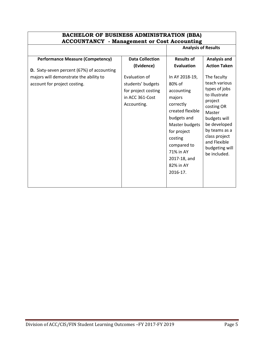#### **BACHELOR OF BUSINESS ADMINISTRATION (BBA) ACCOUNTANCY - Management or Cost Accounting Analysis of Results**

| <b>Performance Measure (Competency)</b>                                                                                     | <b>Data Collection</b>                                                                                    | <b>Results of</b>                                                                                                                   | <b>Analysis and</b>                                                                                                 |
|-----------------------------------------------------------------------------------------------------------------------------|-----------------------------------------------------------------------------------------------------------|-------------------------------------------------------------------------------------------------------------------------------------|---------------------------------------------------------------------------------------------------------------------|
| <b>D.</b> Sixty-seven percent (67%) of accounting<br>majors will demonstrate the ability to<br>account for project costing. | (Evidence)<br>Evaluation of<br>students' budgets<br>for project costing<br>in ACC 361-Cost<br>Accounting. | Evaluation<br>In AY 2018-19,<br>80% of<br>accounting<br>majors<br>project<br>correctly<br>created flexible<br>Master<br>budgets and | <b>Action Taken</b><br>The faculty<br>teach various<br>types of jobs<br>to illustrate<br>costing OR<br>budgets will |
|                                                                                                                             |                                                                                                           | Master budgets<br>for project<br>costing<br>compared to<br>71% in AY<br>2017-18, and<br>82% in AY<br>2016-17.                       | be developed<br>by teams as a<br>class project<br>and Flexible<br>budgeting will<br>be included.                    |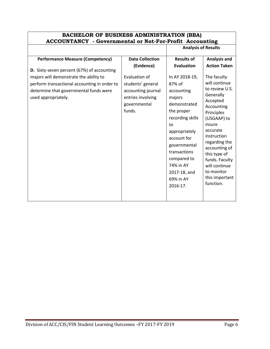#### **BACHELOR OF BUSINESS ADMINISTRATION (BBA) ACCOUNTANCY - Governmental or Not-For-Profit Accounting Analysis of Results**

| <b>Performance Measure (Competency)</b>           | <b>Data Collection</b> | <b>Results of</b> | <b>Analysis and</b>            |
|---------------------------------------------------|------------------------|-------------------|--------------------------------|
|                                                   | (Evidence)             | <b>Evaluation</b> | <b>Action Taken</b>            |
| <b>D.</b> Sixty-seven percent (67%) of accounting |                        |                   |                                |
| majors will demonstrate the ability to            | Evaluation of          | In AY 2018-19,    | The faculty                    |
| perform transactional accounting in order to      | students' general      | 87% of            | will continue                  |
| determine that governmental funds were            | accounting journal     | accounting        | to review U.S.                 |
| used appropriately.                               | entries involving      | majors            | Generally<br>Accepted          |
|                                                   | governmental           | demonstrated      | Accounting                     |
|                                                   | funds.                 | the proper        | Principles                     |
|                                                   |                        | recording skills  | (USGAAP) to                    |
|                                                   |                        | to                | insure                         |
|                                                   |                        | appropriately     | accurate                       |
|                                                   |                        | account for       | instruction                    |
|                                                   |                        | governmental      | regarding the<br>accounting of |
|                                                   |                        | transactions      | this type of                   |
|                                                   |                        | compared to       | funds. Faculty                 |
|                                                   |                        | 74% in AY         | will continue                  |
|                                                   |                        | 2017-18, and      | to monitor                     |
|                                                   |                        | 69% in AY         | this important                 |
|                                                   |                        | 2016-17.          | function.                      |
|                                                   |                        |                   |                                |
|                                                   |                        |                   |                                |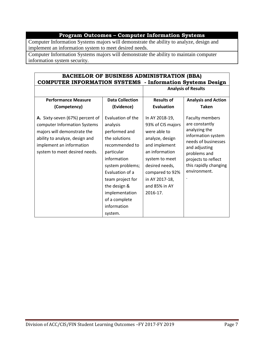### **Program Outcomes – Computer Information Systems**

Computer Information Systems majors will demonstrate the ability to analyze, design and implement an information system to meet desired needs.

Computer Information Systems majors will demonstrate the ability to maintain computer information system security.

| <b>BACHELOR OF BUSINESS ADMINISTRATION (BBA)</b><br><b>COMPUTER INFORMATION SYSTEMS</b> - Information Systems Design                                                                          |                                                                                                                                                                                                                                                        |                                                                                                                                                                                                                 |                                                                                                                                                                                                         |  |
|-----------------------------------------------------------------------------------------------------------------------------------------------------------------------------------------------|--------------------------------------------------------------------------------------------------------------------------------------------------------------------------------------------------------------------------------------------------------|-----------------------------------------------------------------------------------------------------------------------------------------------------------------------------------------------------------------|---------------------------------------------------------------------------------------------------------------------------------------------------------------------------------------------------------|--|
|                                                                                                                                                                                               |                                                                                                                                                                                                                                                        |                                                                                                                                                                                                                 | <b>Analysis of Results</b>                                                                                                                                                                              |  |
| <b>Performance Measure</b><br>(Competency)                                                                                                                                                    | <b>Data Collection</b><br>(Evidence)                                                                                                                                                                                                                   | <b>Results of</b><br><b>Evaluation</b>                                                                                                                                                                          | <b>Analysis and Action</b><br><b>Taken</b>                                                                                                                                                              |  |
| A. Sixty-seven (67%) percent of<br>computer Information Systems<br>majors will demonstrate the<br>ability to analyze, design and<br>implement an information<br>system to meet desired needs. | Evaluation of the<br>analysis<br>performed and<br>the solutions<br>recommended to<br>particular<br>information<br>system problems;<br>Evaluation of a<br>team project for<br>the design &<br>implementation<br>of a complete<br>information<br>system. | In AY 2018-19,<br>93% of CIS majors<br>were able to<br>analyze, design<br>and implement<br>an information<br>system to meet<br>desired needs,<br>compared to 92%<br>in AY 2017-18,<br>and 85% in AY<br>2016-17. | <b>Faculty members</b><br>are constantly<br>analyzing the<br>information system<br>needs of businesses<br>and adjusting<br>problems and<br>projects to reflect<br>this rapidly changing<br>environment. |  |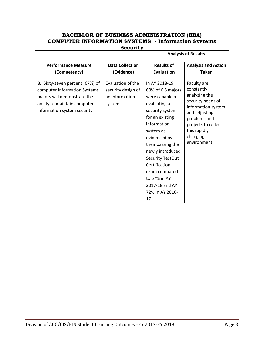| <b>COMPUTER INFORMATION SYSTEMS - Information Systems</b><br><b>Security</b>                                                                                          |                                                                      |                                                                                                                                                                                                                                                                                                                     |                                                                                                                                                                                           |  |
|-----------------------------------------------------------------------------------------------------------------------------------------------------------------------|----------------------------------------------------------------------|---------------------------------------------------------------------------------------------------------------------------------------------------------------------------------------------------------------------------------------------------------------------------------------------------------------------|-------------------------------------------------------------------------------------------------------------------------------------------------------------------------------------------|--|
|                                                                                                                                                                       |                                                                      | <b>Analysis of Results</b>                                                                                                                                                                                                                                                                                          |                                                                                                                                                                                           |  |
| <b>Performance Measure</b><br>(Competency)                                                                                                                            | <b>Data Collection</b><br>(Evidence)                                 | <b>Results of</b><br><b>Evaluation</b>                                                                                                                                                                                                                                                                              | <b>Analysis and Action</b><br><b>Taken</b>                                                                                                                                                |  |
| <b>B.</b> Sixty-seven percent (67%) of<br>computer Information Systems<br>majors will demonstrate the<br>ability to maintain computer<br>information system security. | Evaluation of the<br>security design of<br>an information<br>system. | In AY 2018-19,<br>60% of CIS majors<br>were capable of<br>evaluating a<br>security system<br>for an existing<br>information<br>system as<br>evidenced by<br>their passing the<br>newly introduced<br>Security TestOut<br>Certification<br>exam compared<br>to 67% in AY<br>2017-18 and AY<br>72% in AY 2016-<br>17. | Faculty are<br>constantly<br>analyzing the<br>security needs of<br>information system<br>and adjusting<br>problems and<br>projects to reflect<br>this rapidly<br>changing<br>environment. |  |

# **BACHELOR OF BUSINESS ADMINISTRATION (BBA)**

 $\Gamma$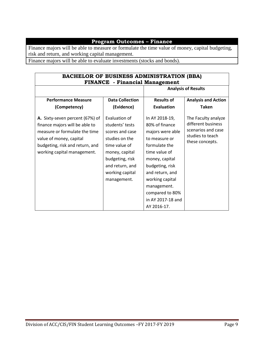### **Program Outcomes – Finance**

Finance majors will be able to measure or formulate the time value of money, capital budgeting, risk and return, and working capital management.

Finance majors will be able to evaluate investments (stocks and bonds).

| <b>BACHELOR OF BUSINESS ADMINISTRATION (BBA)</b><br><b>FINANCE</b> - Financial Management                                                                                                       |                                                                                                                                                                                  |                                                                                                                                                                                                                                                          |                                                                                                        |
|-------------------------------------------------------------------------------------------------------------------------------------------------------------------------------------------------|----------------------------------------------------------------------------------------------------------------------------------------------------------------------------------|----------------------------------------------------------------------------------------------------------------------------------------------------------------------------------------------------------------------------------------------------------|--------------------------------------------------------------------------------------------------------|
| <b>Analysis of Results</b>                                                                                                                                                                      |                                                                                                                                                                                  |                                                                                                                                                                                                                                                          |                                                                                                        |
| <b>Performance Measure</b>                                                                                                                                                                      | <b>Data Collection</b>                                                                                                                                                           | <b>Results of</b>                                                                                                                                                                                                                                        | <b>Analysis and Action</b>                                                                             |
| (Competency)                                                                                                                                                                                    | (Evidence)                                                                                                                                                                       | Evaluation                                                                                                                                                                                                                                               | <b>Taken</b>                                                                                           |
| A. Sixty-seven percent (67%) of<br>finance majors will be able to<br>measure or formulate the time<br>value of money, capital<br>budgeting, risk and return, and<br>working capital management. | Evaluation of<br>students' tests<br>scores and case<br>studies on the<br>time value of<br>money, capital<br>budgeting, risk<br>and return, and<br>working capital<br>management. | In AY 2018-19,<br>80% of finance<br>majors were able<br>to measure or<br>formulate the<br>time value of<br>money, capital<br>budgeting, risk<br>and return, and<br>working capital<br>management.<br>compared to 80%<br>in AY 2017-18 and<br>AY 2016-17. | The Faculty analyze<br>different business<br>scenarios and case<br>studies to teach<br>these concepts. |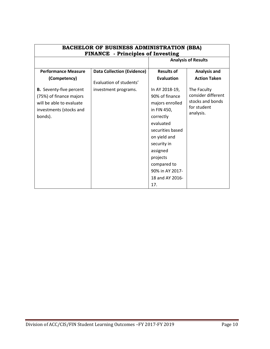| <b>BACHELOR OF BUSINESS ADMINISTRATION (BBA)</b><br><b>FINANCE</b> - Principles of Investing |                                   |                   |                                 |  |
|----------------------------------------------------------------------------------------------|-----------------------------------|-------------------|---------------------------------|--|
|                                                                                              |                                   |                   | <b>Analysis of Results</b>      |  |
| <b>Performance Measure</b>                                                                   | <b>Data Collection (Evidence)</b> | <b>Results of</b> | <b>Analysis and</b>             |  |
| (Competency)                                                                                 | Evaluation of students'           | <b>Evaluation</b> | <b>Action Taken</b>             |  |
| <b>B.</b> Seventy-five percent                                                               | investment programs.              | In AY 2018-19,    | The Faculty                     |  |
| (75%) of finance majors                                                                      |                                   | 90% of finance    | consider different              |  |
| will be able to evaluate                                                                     |                                   | majors enrolled   | stocks and bonds<br>for student |  |
| investments (stocks and                                                                      |                                   | in FIN 450,       | analysis.                       |  |
| bonds).                                                                                      |                                   | correctly         |                                 |  |
|                                                                                              |                                   | evaluated         |                                 |  |
|                                                                                              |                                   | securities based  |                                 |  |
|                                                                                              |                                   | on yield and      |                                 |  |
|                                                                                              |                                   | security in       |                                 |  |
|                                                                                              |                                   | assigned          |                                 |  |
|                                                                                              |                                   | projects          |                                 |  |
|                                                                                              |                                   | compared to       |                                 |  |
|                                                                                              |                                   | 90% in AY 2017-   |                                 |  |
|                                                                                              |                                   | 18 and AY 2016-   |                                 |  |
|                                                                                              |                                   | 17.               |                                 |  |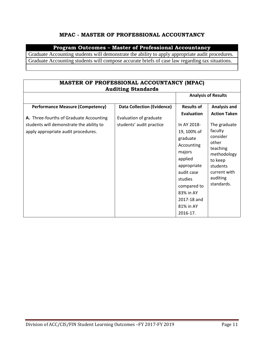#### **MPAC - MASTER OF PROFESSIONAL ACCOUNTANCY**

#### **Program Outcomes – Master of Professional Accountancy**

Graduate Accounting students will demonstrate the ability to apply appropriate audit procedures. Graduate Accounting students will compose accurate briefs of case law regarding tax situations.

| <b>MASTER OF PROFESSIONAL ACCOUNTANCY (MPAC)</b><br><b>Auditing Standards</b>      |                                                             |                                                                                                                                                                                       |                                                                                                                                          |
|------------------------------------------------------------------------------------|-------------------------------------------------------------|---------------------------------------------------------------------------------------------------------------------------------------------------------------------------------------|------------------------------------------------------------------------------------------------------------------------------------------|
|                                                                                    |                                                             |                                                                                                                                                                                       | <b>Analysis of Results</b>                                                                                                               |
| <b>Performance Measure (Competency)</b><br>A. Three-fourths of Graduate Accounting | <b>Data Collection (Evidence)</b><br>Evaluation of graduate | <b>Results of</b><br>Evaluation                                                                                                                                                       | <b>Analysis and</b><br><b>Action Taken</b>                                                                                               |
| students will demonstrate the ability to<br>apply appropriate audit procedures.    | students' audit practice                                    | In AY 2018-<br>19, 100% of<br>graduate<br>Accounting<br>majors<br>applied<br>appropriate<br>audit case<br>studies<br>compared to<br>83% in AY<br>2017-18 and<br>81% in AY<br>2016-17. | The graduate<br>faculty<br>consider<br>other<br>teaching<br>methodology<br>to keep<br>students<br>current with<br>auditing<br>standards. |